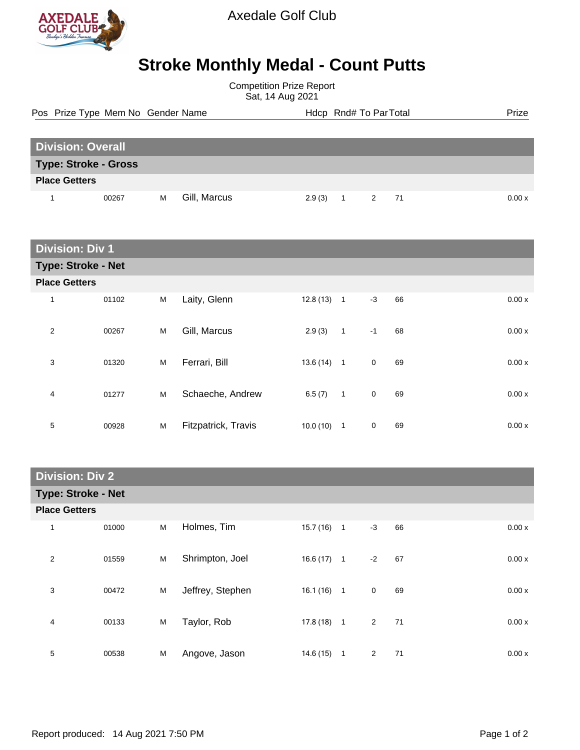

## **Stroke Monthly Medal - Count Putts**

Competition Prize Report Sat, 14 Aug 2021

Pos Prize Type Mem No Gender Name **Health Hotel And America** Hotel Hotel Prize Prize

| <b>Division: Overall</b>    |       |   |              |            |  |      |  |  |       |
|-----------------------------|-------|---|--------------|------------|--|------|--|--|-------|
| <b>Type: Stroke - Gross</b> |       |   |              |            |  |      |  |  |       |
| <b>Place Getters</b>        |       |   |              |            |  |      |  |  |       |
|                             | 00267 | м | Gill, Marcus | $2.9(3)$ 1 |  | 2 71 |  |  | 0.00x |

| <b>Division: Div 1</b>    |       |   |                     |              |              |             |    |       |  |
|---------------------------|-------|---|---------------------|--------------|--------------|-------------|----|-------|--|
| <b>Type: Stroke - Net</b> |       |   |                     |              |              |             |    |       |  |
| <b>Place Getters</b>      |       |   |                     |              |              |             |    |       |  |
| 1                         | 01102 | M | Laity, Glenn        | $12.8(13)$ 1 |              | $-3$        | 66 | 0.00x |  |
| 2                         | 00267 | M | Gill, Marcus        | 2.9(3)       | $\mathbf{1}$ | $-1$        | 68 | 0.00x |  |
| 3                         | 01320 | M | Ferrari, Bill       | $13.6(14)$ 1 |              | $\mathbf 0$ | 69 | 0.00x |  |
| 4                         | 01277 | M | Schaeche, Andrew    | 6.5(7)       | $\mathbf{1}$ | $\mathbf 0$ | 69 | 0.00x |  |
| 5                         | 00928 | M | Fitzpatrick, Travis | 10.0(10)     | $\mathbf{1}$ | $\mathbf 0$ | 69 | 0.00x |  |

| <b>Division: Div 2</b>    |       |   |                  |              |  |                      |       |  |  |
|---------------------------|-------|---|------------------|--------------|--|----------------------|-------|--|--|
| <b>Type: Stroke - Net</b> |       |   |                  |              |  |                      |       |  |  |
| <b>Place Getters</b>      |       |   |                  |              |  |                      |       |  |  |
| 1                         | 01000 | M | Holmes, Tim      | $15.7(16)$ 1 |  | 66<br>$-3$           | 0.00x |  |  |
| $\overline{2}$            | 01559 | M | Shrimpton, Joel  | $16.6(17)$ 1 |  | $-2$<br>67           | 0.00x |  |  |
| 3                         | 00472 | M | Jeffrey, Stephen | $16.1(16)$ 1 |  | $\mathbf 0$<br>69    | 0.00x |  |  |
| 4                         | 00133 | M | Taylor, Rob      | $17.8(18)$ 1 |  | $\overline{2}$<br>71 | 0.00x |  |  |
| 5                         | 00538 | M | Angove, Jason    | $14.6(15)$ 1 |  | 2<br>71              | 0.00x |  |  |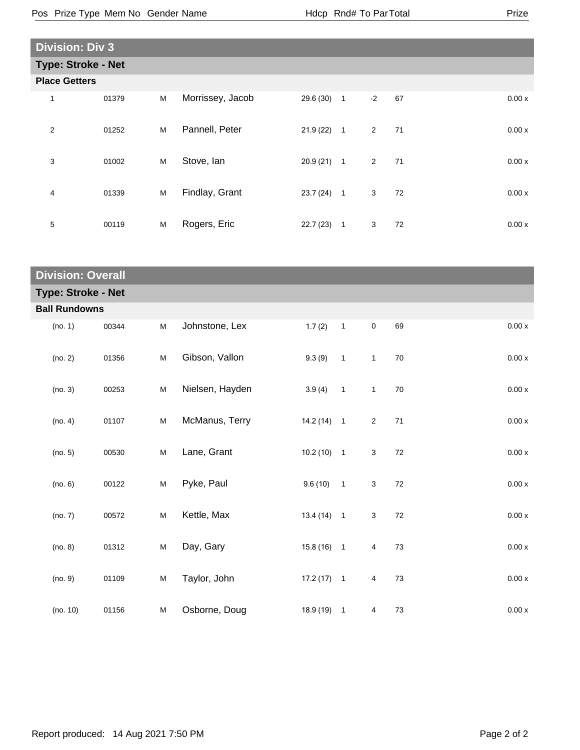| <b>Division: Div 3</b>    |       |   |                  |              |                |                |    |  |       |  |
|---------------------------|-------|---|------------------|--------------|----------------|----------------|----|--|-------|--|
| <b>Type: Stroke - Net</b> |       |   |                  |              |                |                |    |  |       |  |
| <b>Place Getters</b>      |       |   |                  |              |                |                |    |  |       |  |
| 1                         | 01379 | M | Morrissey, Jacob | 29.6 (30)    | $\overline{1}$ | $-2$           | 67 |  | 0.00x |  |
| 2                         | 01252 | M | Pannell, Peter   | $21.9(22)$ 1 |                | $\overline{2}$ | 71 |  | 0.00x |  |
| 3                         | 01002 | M | Stove, Ian       | $20.9(21)$ 1 |                | $\overline{2}$ | 71 |  | 0.00x |  |
| 4                         | 01339 | M | Findlay, Grant   | $23.7(24)$ 1 |                | 3 <sup>1</sup> | 72 |  | 0.00x |  |
| 5                         | 00119 | M | Rogers, Eric     | 22.7(23)     | $\mathbf{1}$   | 3              | 72 |  | 0.00x |  |

| <b>Division: Overall</b>  |       |           |                 |              |                            |                |        |  |                    |
|---------------------------|-------|-----------|-----------------|--------------|----------------------------|----------------|--------|--|--------------------|
| <b>Type: Stroke - Net</b> |       |           |                 |              |                            |                |        |  |                    |
| <b>Ball Rundowns</b>      |       |           |                 |              |                            |                |        |  |                    |
| (no. 1)                   | 00344 | ${\sf M}$ | Johnstone, Lex  | 1.7(2)       | $\mathbf{1}$               | $\mathbf 0$    | 69     |  | 0.00 x             |
| (no. 2)                   | 01356 | ${\sf M}$ | Gibson, Vallon  | 9.3(9)       | $\overline{1}$             | $\mathbf{1}$   | 70     |  | 0.00 x             |
| (no. 3)                   | 00253 | M         | Nielsen, Hayden | 3.9(4)       | $\overline{\phantom{0}}$ 1 | $\mathbf{1}$   | 70     |  | 0.00x              |
| (no. 4)                   | 01107 | ${\sf M}$ | McManus, Terry  | $14.2(14)$ 1 |                            | $\overline{2}$ | 71     |  | 0.00 x             |
| (no. 5)                   | 00530 | ${\sf M}$ | Lane, Grant     | $10.2(10)$ 1 |                            | 3              | 72     |  | 0.00 x             |
| (no. 6)                   | 00122 | ${\sf M}$ | Pyke, Paul      | $9.6(10)$ 1  |                            | $\sqrt{3}$     | 72     |  | $0.00\,\mathrm{x}$ |
| (no. 7)                   | 00572 | ${\sf M}$ | Kettle, Max     | $13.4(14)$ 1 |                            | 3              | $72\,$ |  | 0.00 x             |
| (no. 8)                   | 01312 | ${\sf M}$ | Day, Gary       | $15.8(16)$ 1 |                            | 4              | 73     |  | 0.00x              |
| (no. 9)                   | 01109 | ${\sf M}$ | Taylor, John    | $17.2(17)$ 1 |                            | 4              | 73     |  | 0.00 x             |
| (no. 10)                  | 01156 | ${\sf M}$ | Osborne, Doug   | $18.9(19)$ 1 |                            | 4              | 73     |  | 0.00x              |